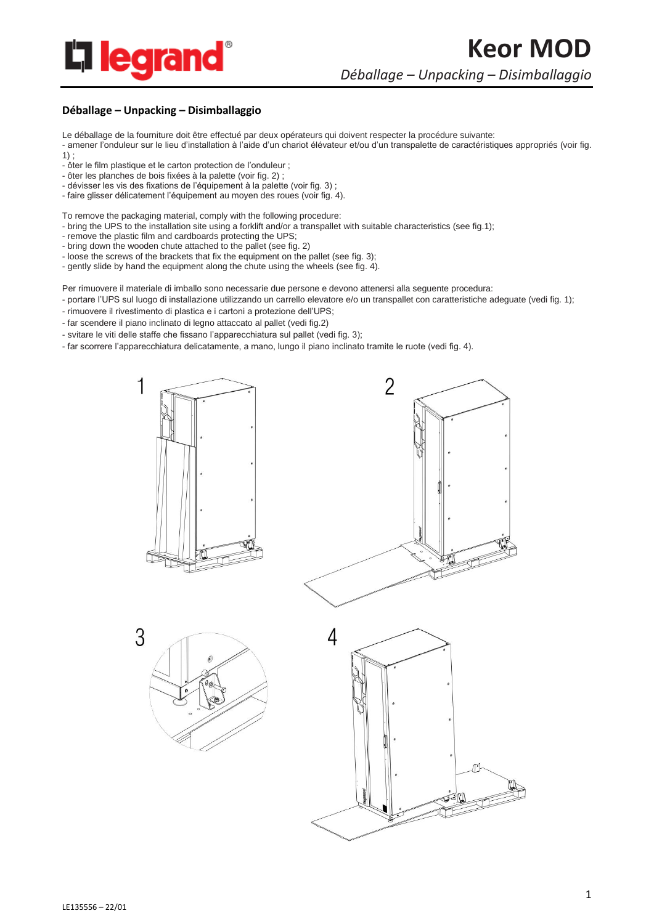

## **Déballage – Unpacking – Disimballaggio**

Le déballage de la fourniture doit être effectué par deux opérateurs qui doivent respecter la procédure suivante:

- amener l'onduleur sur le lieu d'installation à l'aide d'un chariot élévateur et/ou d'un transpalette de caractéristiques appropriés (voir fig. 1) ;

- ôter le film plastique et le carton protection de l'onduleur ;
- ôter les planches de bois fixées à la palette (voir fig. 2) ;
- dévisser les vis des fixations de l'équipement à la palette (voir fig. 3) ;
- faire glisser délicatement l'équipement au moyen des roues (voir fig. 4).

To remove the packaging material, comply with the following procedure:

- bring the UPS to the installation site using a forklift and/or a transpallet with suitable characteristics (see fig.1);
- remove the plastic film and cardboards protecting the UPS;
- bring down the wooden chute attached to the pallet (see fig. 2)
- loose the screws of the brackets that fix the equipment on the pallet (see fig. 3);

- gently slide by hand the equipment along the chute using the wheels (see fig. 4).

Per rimuovere il materiale di imballo sono necessarie due persone e devono attenersi alla seguente procedura:

- portare l'UPS sul luogo di installazione utilizzando un carrello elevatore e/o un transpallet con caratteristiche adeguate (vedi fig. 1);
- rimuovere il rivestimento di plastica e i cartoni a protezione dell'UPS;
- far scendere il piano inclinato di legno attaccato al pallet (vedi fig.2)
- svitare le viti delle staffe che fissano l'apparecchiatura sul pallet (vedi fig. 3);
- far scorrere l'apparecchiatura delicatamente, a mano, lungo il piano inclinato tramite le ruote (vedi fig. 4).